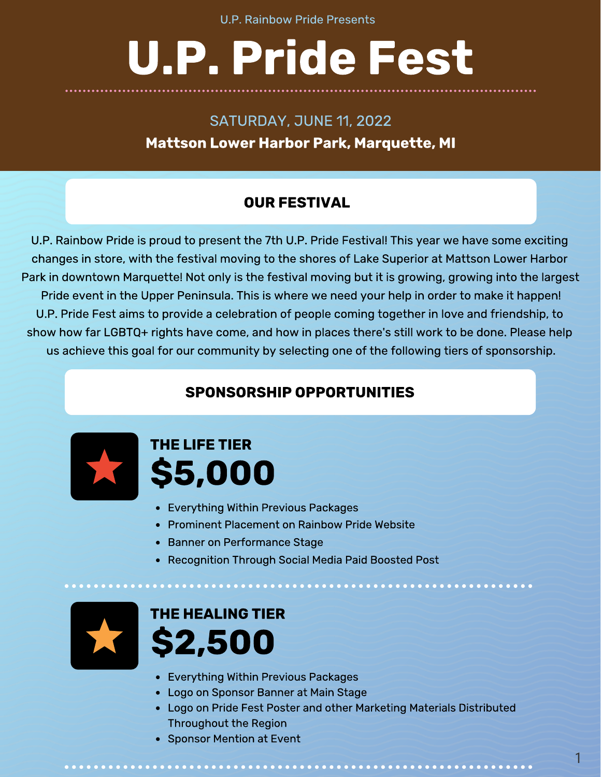# U.P. Pride Fest

SATURDAY, JUNE 11, 2022 Mattson Lower Harbor Park, Marquette, MI

#### OUR FESTIVAL

U.P. Rainbow Pride is proud to present the 7th U.P. Pride Festival! This year we have some exciting Park in downtown Marquette! Not only is the festival moving but it is growing, growing into the largest Pride event in the Upper Peninsula. This is where we need your help in order to make it happen! U.P. Pride Fest aims to provide a celebration of people coming together in love and friendship, to U.P. Pride Fest aims to provide a celebration of people coming together in love and friendship, to show how far LGBTQ+ rights have come, and how in places there's still work to be done. Please help us achieve this goal for our community by selecting one of the following tiers of sponsorship.

#### SPONSORSHIP OPPORTUNITIES



# THE LIFE TIER \$5,000

- 
- Everything Within Previous Packages<br>• Prominent Placement on Rainbow Pride Website
- Banner on Performance Stage
- Banner on Performance Stage Recognition Through Social Media Paid Boosted Post



## THE HEALING TIER \$2,500

- 
- Everything Within Previous Packages
- Logo on Pride Fest Poster and other Marketing Materials Distributed Throughout the Region
- Throughout the Region Sponsor Mention at Event

1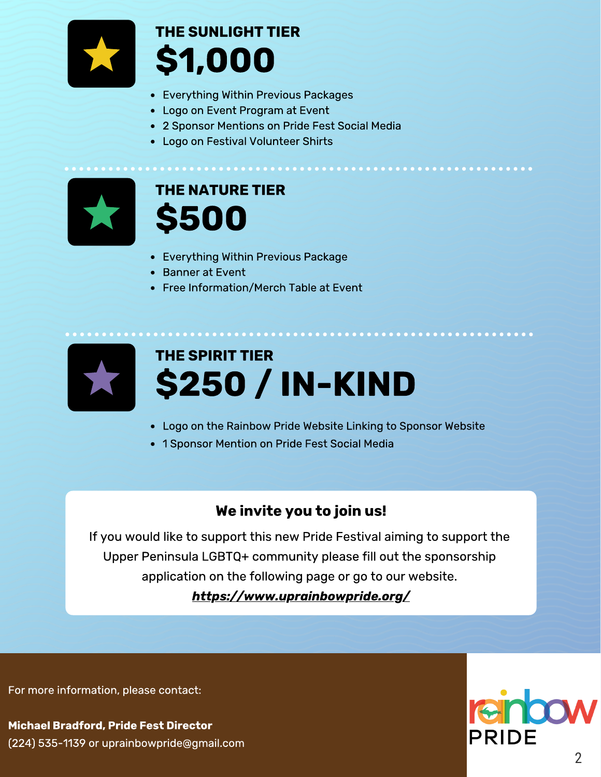

## THE SUNLIGHT TIER \$1,000

- Everything Within Previous Packages<br>• Logo on Event Program at Event
- 
- 2 Sponsor Mentions on Pride Fest Social Media
- Logo on Festival Volunteer Shirts Logo on Festival Volunteer Shirts



#### THE NATURE TIER \$500

- Everything Within Previous Package<br>• Banner at Event
- 
- Free Information/Merch Table at Event Free Information/Merch Table at Event



# THE SPIRIT TIER \$250 / IN-KIND

- Logo on the Rainbow Pride Website Linking to Sponsor Website
- 1 Sponsor Mention on Pride Fest Social Media

#### We invite you to join us!

If you would like to support this new Pride Festival aiming to support the application on the following page or go to our website. application on the following page or go to our website.

https://www.uprainbowpride.org/

For more information, please contact:

Michael Bradford, Pride Fest Director (224) 535-1139 or uprainbowpride@gmail.com